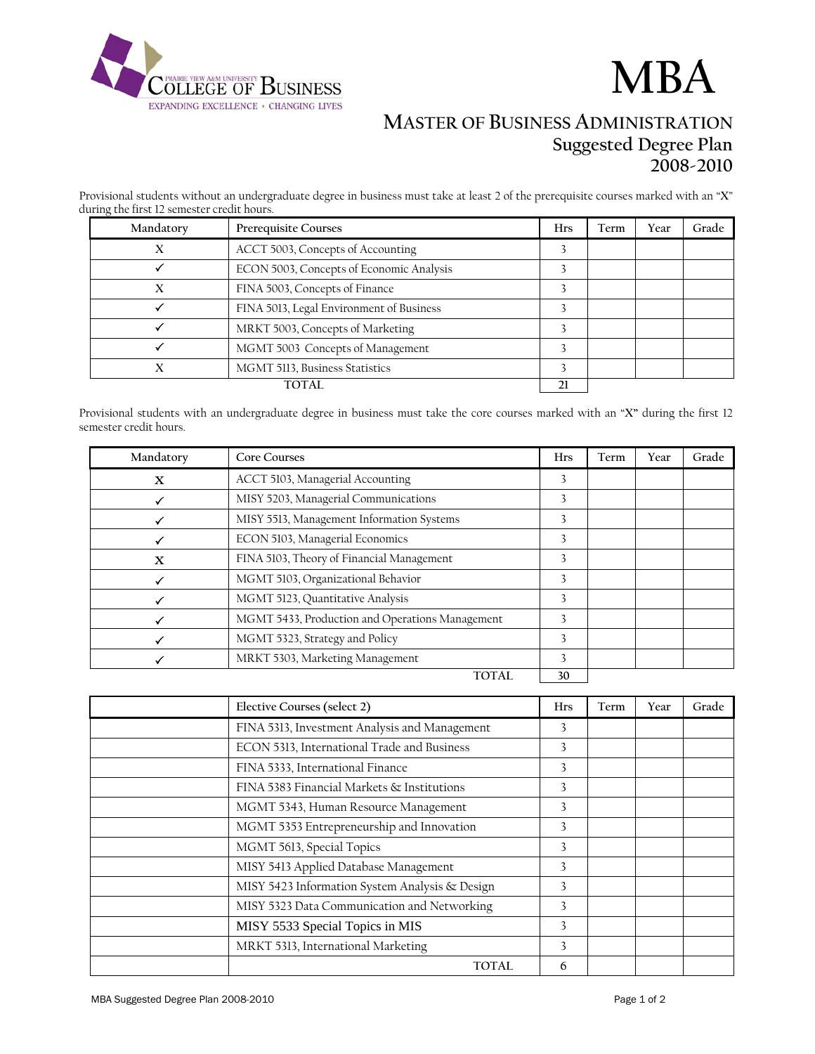

# **MBA**

## **MASTER OF BUSINESS ADMINISTRATION Suggested Degree Plan 2008-2010**

Provisional students without an undergraduate degree in business must take at least 2 of the prerequisite courses marked with an "**X**" during the first 12 semester credit hours.

| Mandatory | Prerequisite Courses                     | <b>Hrs</b> | Term | Year | Grade |
|-----------|------------------------------------------|------------|------|------|-------|
| Х         | ACCT 5003, Concepts of Accounting        |            |      |      |       |
|           | ECON 5003, Concepts of Economic Analysis |            |      |      |       |
| X         | FINA 5003, Concepts of Finance           |            |      |      |       |
|           | FINA 5013, Legal Environment of Business |            |      |      |       |
|           | MRKT 5003, Concepts of Marketing         |            |      |      |       |
|           | MGMT 5003 Concepts of Management         |            |      |      |       |
|           | MGMT 5113, Business Statistics           |            |      |      |       |
| TOTAL     |                                          |            |      |      |       |

Provisional students with an undergraduate degree in business must take the core courses marked with an "**X"** during the first 12 semester credit hours.

| Mandatory | <b>Core Courses</b>                             | <b>Hrs</b> | Term | Year | Grade |
|-----------|-------------------------------------------------|------------|------|------|-------|
| X         | ACCT 5103, Managerial Accounting                | 3          |      |      |       |
|           | MISY 5203, Managerial Communications            | 3          |      |      |       |
|           | MISY 5513, Management Information Systems       | 3          |      |      |       |
|           | ECON 5103, Managerial Economics                 | 3          |      |      |       |
| X         | FINA 5103, Theory of Financial Management       | 3          |      |      |       |
|           | MGMT 5103, Organizational Behavior              | 3          |      |      |       |
|           | MGMT 5123, Quantitative Analysis                | 3          |      |      |       |
|           | MGMT 5433, Production and Operations Management | 3          |      |      |       |
|           | MGMT 5323, Strategy and Policy                  | 3          |      |      |       |
|           | MRKT 5303, Marketing Management                 | 3          |      |      |       |
|           | <b>TOTAL</b>                                    | 30         |      |      |       |

| Elective Courses (select 2)                    | <b>Hrs</b>   | Term | Year | Grade |
|------------------------------------------------|--------------|------|------|-------|
| FINA 5313, Investment Analysis and Management  | 3            |      |      |       |
| ECON 5313, International Trade and Business    | 3            |      |      |       |
| FINA 5333, International Finance               | 3            |      |      |       |
| FINA 5383 Financial Markets & Institutions     | 3            |      |      |       |
| MGMT 5343, Human Resource Management           | 3            |      |      |       |
| MGMT 5353 Entrepreneurship and Innovation      | 3            |      |      |       |
| MGMT 5613, Special Topics                      | 3            |      |      |       |
| MISY 5413 Applied Database Management          | $\mathbf{3}$ |      |      |       |
| MISY 5423 Information System Analysis & Design | 3            |      |      |       |
| MISY 5323 Data Communication and Networking    | 3            |      |      |       |
| MISY 5533 Special Topics in MIS                | 3            |      |      |       |
| MRKT 5313, International Marketing             | 3            |      |      |       |
| TOTAL.                                         | 6            |      |      |       |